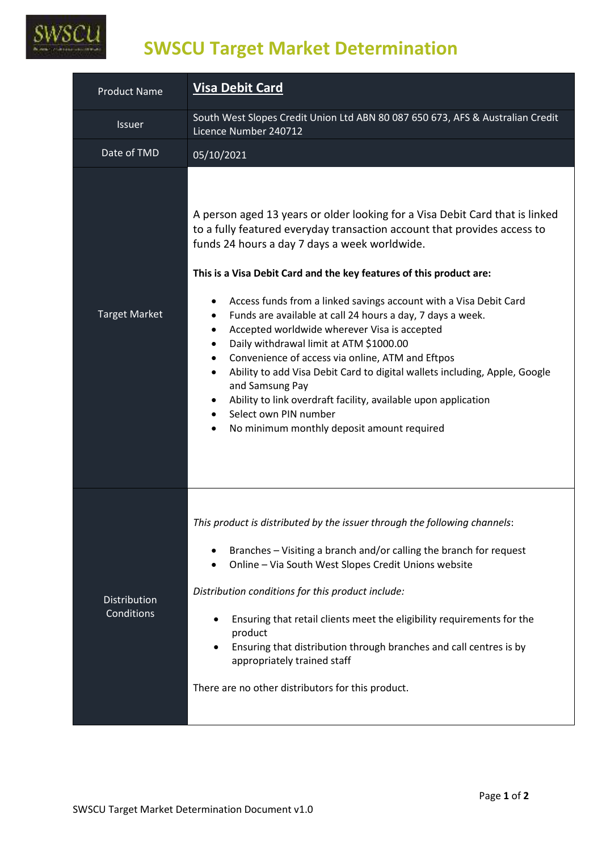

## **SWSCU Target Market Determination**

| <b>Product Name</b>               | <b>Visa Debit Card</b>                                                                                                                                                                                                                                                                                                                                                                                                                                                                                                                                                                                                                                                                                                                                                                                                                |  |  |
|-----------------------------------|---------------------------------------------------------------------------------------------------------------------------------------------------------------------------------------------------------------------------------------------------------------------------------------------------------------------------------------------------------------------------------------------------------------------------------------------------------------------------------------------------------------------------------------------------------------------------------------------------------------------------------------------------------------------------------------------------------------------------------------------------------------------------------------------------------------------------------------|--|--|
| <b>Issuer</b>                     | South West Slopes Credit Union Ltd ABN 80 087 650 673, AFS & Australian Credit<br>Licence Number 240712                                                                                                                                                                                                                                                                                                                                                                                                                                                                                                                                                                                                                                                                                                                               |  |  |
| Date of TMD                       | 05/10/2021                                                                                                                                                                                                                                                                                                                                                                                                                                                                                                                                                                                                                                                                                                                                                                                                                            |  |  |
| <b>Target Market</b>              | A person aged 13 years or older looking for a Visa Debit Card that is linked<br>to a fully featured everyday transaction account that provides access to<br>funds 24 hours a day 7 days a week worldwide.<br>This is a Visa Debit Card and the key features of this product are:<br>Access funds from a linked savings account with a Visa Debit Card<br>٠<br>Funds are available at call 24 hours a day, 7 days a week.<br>Accepted worldwide wherever Visa is accepted<br>٠<br>Daily withdrawal limit at ATM \$1000.00<br>٠<br>Convenience of access via online, ATM and Eftpos<br>٠<br>Ability to add Visa Debit Card to digital wallets including, Apple, Google<br>٠<br>and Samsung Pay<br>Ability to link overdraft facility, available upon application<br>Select own PIN number<br>No minimum monthly deposit amount required |  |  |
| <b>Distribution</b><br>Conditions | This product is distributed by the issuer through the following channels:<br>Branches – Visiting a branch and/or calling the branch for request<br>Online - Via South West Slopes Credit Unions website<br>Distribution conditions for this product include:<br>Ensuring that retail clients meet the eligibility requirements for the<br>product<br>Ensuring that distribution through branches and call centres is by<br>appropriately trained staff<br>There are no other distributors for this product.                                                                                                                                                                                                                                                                                                                           |  |  |